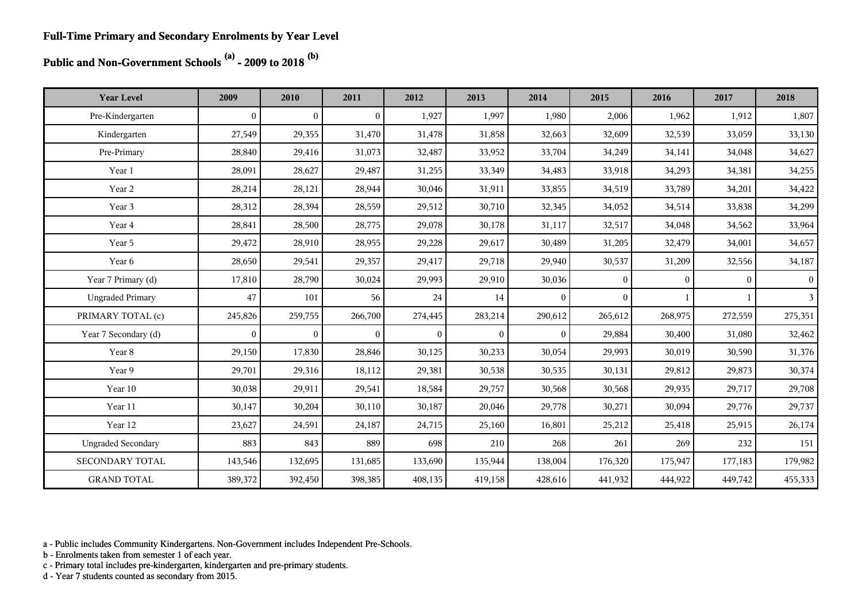**Public and Non-Government Schools (a) - 2009 to 2018 (b)**

| <b>Year Level</b>         | 2009           | 2010           | 2011     | 2012     | 2013     | 2014           | 2015         | 2016     | 2017     | 2018            |
|---------------------------|----------------|----------------|----------|----------|----------|----------------|--------------|----------|----------|-----------------|
| Pre-Kindergarten          | $\overline{0}$ | $\overline{0}$ | $\theta$ | 1,927    | 1,997    | 1,980          | 2,006        | 1,962    | 1,912    | 1,807           |
| Kindergarten              | 27,549         | 29,355         | 31,470   | 31,478   | 31,858   | 32,663         | 32,609       | 32,539   | 33,059   | 33,130          |
| Pre-Primary               | 28,840         | 29,416         | 31,073   | 32,487   | 33,952   | 33,704         | 34,249       | 34,141   | 34,048   | 34,627          |
| Year 1                    | 28,091         | 28,627         | 29,487   | 31,255   | 33,349   | 34,483         | 33,918       | 34,293   | 34,381   | 34,255          |
| Year 2                    | 28,214         | 28,121         | 28,944   | 30,046   | 31,911   | 33,855         | 34,519       | 33,789   | 34,201   | 34,422          |
| Year 3                    | 28,312         | 28,394         | 28,559   | 29,512   | 30,710   | 32,345         | 34,052       | 34,514   | 33,838   | 34,299          |
| Year 4                    | 28,841         | 28,500         | 28,775   | 29,078   | 30,178   | 31,117         | 32,517       | 34,048   | 34,562   | 33,964          |
| Year 5                    | 29,472         | 28,910         | 28,955   | 29,228   | 29,617   | 30,489         | 31,205       | 32,479   | 34,001   | 34,657          |
| Year 6                    | 28,650         | 29,541         | 29,357   | 29,417   | 29,718   | 29,940         | 30,537       | 31,209   | 32,556   | 34,187          |
| Year 7 Primary (d)        | 17,810         | 28,790         | 30,024   | 29,993   | 29,910   | 30,036         | $\mathbf{0}$ | $\Omega$ | $\Omega$ | $\vert 0 \vert$ |
| <b>Ungraded Primary</b>   | 47             | 101            | 56       | 24       | 14       | $\Omega$       | $\theta$     |          |          | 3 <sup>1</sup>  |
| PRIMARY TOTAL (c)         | 245,826        | 259,755        | 266,700  | 274,445  | 283,214  | 290,612        | 265,612      | 268,975  | 272,559  | 275,351         |
| Year 7 Secondary (d)      | $\theta$       | $\overline{0}$ | $\Omega$ | $\theta$ | $\theta$ | $\overline{0}$ | 29,884       | 30,400   | 31,080   | 32,462          |
| Year 8                    | 29,150         | 17,830         | 28,846   | 30,125   | 30,233   | 30,054         | 29,993       | 30,019   | 30,590   | 31,376          |
| Year 9                    | 29,701         | 29,316         | 18,112   | 29,381   | 30,538   | 30,535         | 30,131       | 29,812   | 29,873   | 30,374          |
| Year 10                   | 30,038         | 29,911         | 29,541   | 18,584   | 29,757   | 30,568         | 30,568       | 29,935   | 29,717   | 29,708          |
| Year 11                   | 30,147         | 30,204         | 30,110   | 30,187   | 20,046   | 29,778         | 30,271       | 30,094   | 29,776   | 29,737          |
| Year 12                   | 23,627         | 24,591         | 24,187   | 24,715   | 25,160   | 16,801         | 25,212       | 25,418   | 25,915   | 26,174          |
| <b>Ungraded Secondary</b> | 883            | 843            | 889      | 698      | 210      | 268            | 261          | 269      | 232      | 151             |
| SECONDARY TOTAL           | 143,546        | 132,695        | 131,685  | 133,690  | 135,944  | 138,004        | 176,320      | 175,947  | 177,183  | 179,982         |
| <b>GRAND TOTAL</b>        | 389,372        | 392,450        | 398,385  | 408,135  | 419,158  | 428,616        | 441,932      | 444,922  | 449,742  | 455,333         |

a - Public includes Community Kindergartens. Non-Government includes Independent Pre-Schools.

b - Enrolments taken from semester 1 of each year.

c - Primary total includes pre-kindergarten, kindergarten and pre-primary students.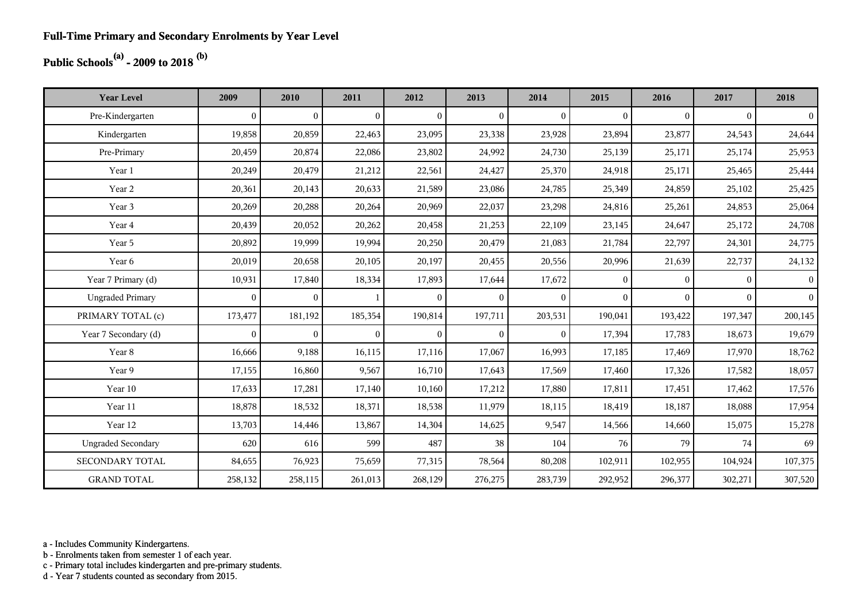## **Public Schools(a) - 2009 to 2018 (b)**

| <b>Year Level</b>         | 2009         | 2010           | 2011           | 2012           | 2013           | 2014           | 2015         | 2016         | 2017         | 2018           |
|---------------------------|--------------|----------------|----------------|----------------|----------------|----------------|--------------|--------------|--------------|----------------|
| Pre-Kindergarten          | $\mathbf{0}$ | $\overline{0}$ | $\overline{0}$ | $\overline{0}$ | $\overline{0}$ | $\mathbf{0}$   | $\mathbf{0}$ | $\mathbf{0}$ | $\Omega$     | $\overline{0}$ |
| Kindergarten              | 19,858       | 20,859         | 22,463         | 23,095         | 23,338         | 23,928         | 23,894       | 23,877       | 24,543       | 24,644         |
| Pre-Primary               | 20,459       | 20,874         | 22,086         | 23,802         | 24,992         | 24,730         | 25,139       | 25,171       | 25,174       | 25,953         |
| Year 1                    | 20,249       | 20,479         | 21,212         | 22,561         | 24,427         | 25,370         | 24,918       | 25,171       | 25,465       | 25,444         |
| Year 2                    | 20,361       | 20,143         | 20,633         | 21,589         | 23,086         | 24,785         | 25,349       | 24,859       | 25,102       | 25,425         |
| Year 3                    | 20,269       | 20,288         | 20,264         | 20,969         | 22,037         | 23,298         | 24,816       | 25,261       | 24,853       | 25,064         |
| Year 4                    | 20,439       | 20,052         | 20,262         | 20,458         | 21,253         | 22,109         | 23,145       | 24,647       | 25,172       | 24,708         |
| Year 5                    | 20,892       | 19,999         | 19,994         | 20,250         | 20,479         | 21,083         | 21,784       | 22,797       | 24,301       | 24,775         |
| Year 6                    | 20,019       | 20,658         | 20,105         | 20,197         | 20,455         | 20,556         | 20,996       | 21,639       | 22,737       | 24,132         |
| Year 7 Primary (d)        | 10,931       | 17,840         | 18,334         | 17,893         | 17,644         | 17,672         | $\mathbf{0}$ | $\Omega$     | $\theta$     | $\vert$ 0      |
| <b>Ungraded Primary</b>   | $\mathbf{0}$ | $\mathbf{0}$   | 1              | $\overline{0}$ | $\overline{0}$ | $\mathbf{0}$   | $\mathbf{0}$ | $\mathbf{0}$ | $\mathbf{0}$ | $\vert$ 0      |
| PRIMARY TOTAL (c)         | 173,477      | 181,192        | 185,354        | 190,814        | 197,711        | 203,531        | 190,041      | 193,422      | 197,347      | 200,145        |
| Year 7 Secondary (d)      | $\mathbf{0}$ | $\overline{0}$ | $\overline{0}$ | $\overline{0}$ | $\overline{0}$ | $\overline{0}$ | 17,394       | 17,783       | 18,673       | 19,679         |
| Year 8                    | 16,666       | 9,188          | 16,115         | 17,116         | 17,067         | 16,993         | 17,185       | 17,469       | 17,970       | 18,762         |
| Year 9                    | 17,155       | 16,860         | 9,567          | 16,710         | 17,643         | 17,569         | 17,460       | 17,326       | 17,582       | 18,057         |
| Year 10                   | 17,633       | 17,281         | 17,140         | 10,160         | 17,212         | 17,880         | 17,811       | 17,451       | 17,462       | 17,576         |
| Year 11                   | 18,878       | 18,532         | 18,371         | 18,538         | 11,979         | 18,115         | 18,419       | 18,187       | 18,088       | 17,954         |
| Year 12                   | 13,703       | 14,446         | 13,867         | 14,304         | 14,625         | 9,547          | 14,566       | 14,660       | 15,075       | 15,278         |
| <b>Ungraded Secondary</b> | 620          | 616            | 599            | 487            | 38             | 104            | 76           | 79           | 74           | 69             |
| <b>SECONDARY TOTAL</b>    | 84,655       | 76,923         | 75,659         | 77,315         | 78,564         | 80,208         | 102,911      | 102,955      | 104,924      | 107,375        |
| <b>GRAND TOTAL</b>        | 258,132      | 258,115        | 261,013        | 268,129        | 276,275        | 283,739        | 292,952      | 296,377      | 302,271      | 307,520        |

a - Includes Community Kindergartens.

b - Enrolments taken from semester 1 of each year.

c - Primary total includes kindergarten and pre-primary students.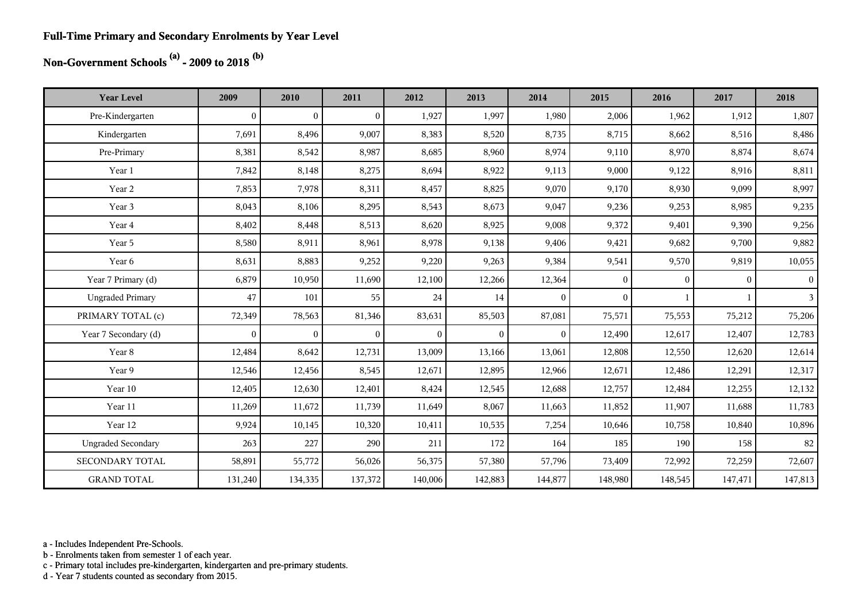#### **Full-Time Primary and Secondary Enrolments by Year Level**

# **Non-Government Schools (a) - 2009 to 2018 (b)**

| <b>Year Level</b>         | 2009             | 2010           | 2011           | 2012     | 2013           | 2014           | 2015         | 2016           | 2017           | 2018           |
|---------------------------|------------------|----------------|----------------|----------|----------------|----------------|--------------|----------------|----------------|----------------|
| Pre-Kindergarten          | $\boldsymbol{0}$ | $\overline{0}$ | $\overline{0}$ | 1,927    | 1,997          | 1,980          | 2,006        | 1,962          | 1,912          | 1,807          |
| Kindergarten              | 7,691            | 8,496          | 9,007          | 8,383    | 8,520          | 8,735          | 8,715        | 8,662          | 8,516          | 8,486          |
| Pre-Primary               | 8,381            | 8,542          | 8,987          | 8,685    | 8,960          | 8,974          | 9,110        | 8,970          | 8,874          | 8,674          |
| Year 1                    | 7,842            | 8,148          | 8,275          | 8,694    | 8,922          | 9,113          | 9,000        | 9,122          | 8,916          | 8,811          |
| Year 2                    | 7,853            | 7,978          | 8,311          | 8,457    | 8,825          | 9,070          | 9,170        | 8,930          | 9,099          | 8,997          |
| Year 3                    | 8,043            | 8,106          | 8,295          | 8,543    | 8,673          | 9,047          | 9,236        | 9,253          | 8,985          | 9,235          |
| Year 4                    | 8,402            | 8,448          | 8,513          | 8,620    | 8,925          | 9,008          | 9,372        | 9,401          | 9,390          | 9,256          |
| Year 5                    | 8,580            | 8,911          | 8,961          | 8,978    | 9,138          | 9,406          | 9,421        | 9,682          | 9,700          | 9,882          |
| Year 6                    | 8,631            | 8,883          | 9,252          | 9,220    | 9,263          | 9,384          | 9,541        | 9,570          | 9,819          | 10,055         |
| Year 7 Primary (d)        | 6,879            | 10,950         | 11,690         | 12,100   | 12,266         | 12,364         | $\mathbf{0}$ | $\overline{0}$ | $\overline{0}$ | $\overline{0}$ |
| <b>Ungraded Primary</b>   | 47               | 101            | 55             | 24       | 14             | $\mathbf{0}$   | $\mathbf{0}$ | 1              |                | 3              |
| PRIMARY TOTAL (c)         | 72,349           | 78,563         | 81,346         | 83,631   | 85,503         | 87,081         | 75,571       | 75,553         | 75,212         | 75,206         |
| Year 7 Secondary (d)      | $\mathbf{0}$     | $\overline{0}$ | $\theta$       | $\theta$ | $\overline{0}$ | $\overline{0}$ | 12,490       | 12,617         | 12,407         | 12,783         |
| Year 8                    | 12,484           | 8,642          | 12,731         | 13,009   | 13,166         | 13,061         | 12,808       | 12,550         | 12,620         | 12,614         |
| Year 9                    | 12,546           | 12,456         | 8,545          | 12,671   | 12,895         | 12,966         | 12,671       | 12,486         | 12,291         | 12,317         |
| Year 10                   | 12,405           | 12,630         | 12,401         | 8,424    | 12,545         | 12,688         | 12,757       | 12,484         | 12,255         | 12,132         |
| Year 11                   | 11,269           | 11,672         | 11,739         | 11,649   | 8,067          | 11,663         | 11,852       | 11,907         | 11,688         | 11,783         |
| Year 12                   | 9,924            | 10,145         | 10,320         | 10,411   | 10,535         | 7,254          | 10,646       | 10,758         | 10,840         | 10,896         |
| <b>Ungraded Secondary</b> | 263              | 227            | 290            | 211      | 172            | 164            | 185          | 190            | 158            | 82             |
| <b>SECONDARY TOTAL</b>    | 58,891           | 55,772         | 56,026         | 56,375   | 57,380         | 57,796         | 73,409       | 72,992         | 72,259         | 72,607         |
| <b>GRAND TOTAL</b>        | 131,240          | 134,335        | 137,372        | 140,006  | 142,883        | 144,877        | 148,980      | 148,545        | 147,471        | 147,813        |

a - Includes Independent Pre-Schools.

b - Enrolments taken from semester 1 of each year.

c - Primary total includes pre-kindergarten, kindergarten and pre-primary students.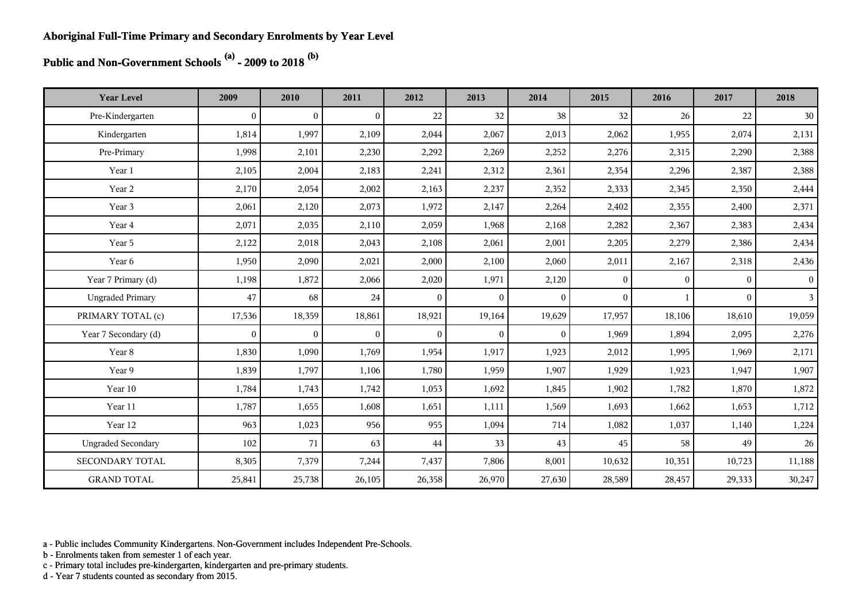**Public and Non-Government Schools (a) - 2009 to 2018 (b)**

| <b>Year Level</b>         | 2009           | 2010           | 2011           | 2012         | 2013         | 2014         | 2015         | 2016         | 2017         | 2018            |
|---------------------------|----------------|----------------|----------------|--------------|--------------|--------------|--------------|--------------|--------------|-----------------|
| Pre-Kindergarten          | $\overline{0}$ | $\overline{0}$ | $\overline{0}$ | 22           | 32           | 38           | 32           | 26           | 22           | 30              |
| Kindergarten              | 1,814          | 1,997          | 2,109          | 2,044        | 2,067        | 2,013        | 2,062        | 1,955        | 2,074        | 2,131           |
| Pre-Primary               | 1,998          | 2,101          | 2,230          | 2,292        | 2,269        | 2,252        | 2,276        | 2,315        | 2,290        | 2,388           |
| Year 1                    | 2,105          | 2,004          | 2,183          | 2,241        | 2,312        | 2,361        | 2,354        | 2,296        | 2,387        | 2,388           |
| Year 2                    | 2,170          | 2,054          | 2,002          | 2,163        | 2,237        | 2,352        | 2,333        | 2,345        | 2,350        | 2,444           |
| Year 3                    | 2,061          | 2,120          | 2,073          | 1,972        | 2,147        | 2,264        | 2,402        | 2,355        | 2,400        | 2,371           |
| Year 4                    | 2,071          | 2,035          | 2,110          | 2,059        | 1,968        | 2,168        | 2,282        | 2,367        | 2,383        | 2,434           |
| Year 5                    | 2,122          | 2,018          | 2,043          | 2,108        | 2,061        | 2,001        | 2,205        | 2,279        | 2,386        | 2,434           |
| Year 6                    | 1,950          | 2,090          | 2,021          | 2,000        | 2,100        | 2,060        | 2,011        | 2,167        | 2,318        | 2,436           |
| Year 7 Primary (d)        | 1,198          | 1,872          | 2,066          | 2,020        | 1,971        | 2,120        | $\mathbf{0}$ | $\mathbf{0}$ | $\mathbf{0}$ | $\vert 0 \vert$ |
| <b>Ungraded Primary</b>   | 47             | 68             | 24             | $\theta$     | $\theta$     | $\mathbf{0}$ | $\theta$     |              | $\theta$     | 3 <sup>1</sup>  |
| PRIMARY TOTAL (c)         | 17,536         | 18,359         | 18,861         | 18,921       | 19,164       | 19,629       | 17,957       | 18,106       | 18,610       | 19,059          |
| Year 7 Secondary (d)      | $\overline{0}$ | $\overline{0}$ | $\mathbf{0}$   | $\mathbf{0}$ | $\mathbf{0}$ | $\mathbf{0}$ | 1,969        | 1,894        | 2,095        | 2,276           |
| Year 8                    | 1,830          | 1,090          | 1,769          | 1,954        | 1,917        | 1,923        | 2,012        | 1,995        | 1,969        | 2,171           |
| Year 9                    | 1,839          | 1,797          | 1,106          | 1,780        | 1,959        | 1,907        | 1,929        | 1,923        | 1,947        | 1,907           |
| Year 10                   | 1,784          | 1,743          | 1,742          | 1,053        | 1,692        | 1,845        | 1,902        | 1,782        | 1,870        | 1,872           |
| Year 11                   | 1,787          | 1,655          | 1,608          | 1,651        | 1,111        | 1,569        | 1,693        | 1,662        | 1,653        | 1,712           |
| Year 12                   | 963            | 1,023          | 956            | 955          | 1,094        | 714          | 1,082        | 1,037        | 1,140        | 1,224           |
| <b>Ungraded Secondary</b> | 102            | 71             | 63             | 44           | 33           | 43           | 45           | 58           | 49           | 26              |
| SECONDARY TOTAL           | 8,305          | 7,379          | 7,244          | 7,437        | 7,806        | 8,001        | 10,632       | 10,351       | 10,723       | 11,188          |
| <b>GRAND TOTAL</b>        | 25,841         | 25,738         | 26,105         | 26,358       | 26,970       | 27,630       | 28,589       | 28,457       | 29,333       | 30,247          |

a - Public includes Community Kindergartens. Non-Government includes Independent Pre-Schools.

b - Enrolments taken from semester 1 of each year.

c - Primary total includes pre-kindergarten, kindergarten and pre-primary students.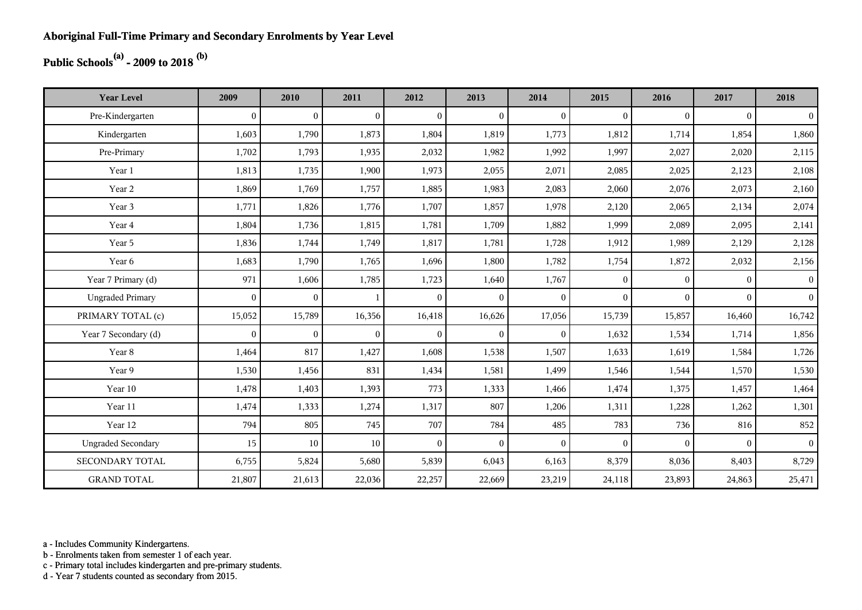## **Public Schools(a) - 2009 to 2018 (b)**

| <b>Year Level</b>         | 2009         | 2010           | 2011           | 2012         | 2013           | 2014         | 2015         | 2016     | 2017     | 2018           |
|---------------------------|--------------|----------------|----------------|--------------|----------------|--------------|--------------|----------|----------|----------------|
| Pre-Kindergarten          | $\theta$     | $\overline{0}$ | $\overline{0}$ | $\Omega$     | $\mathbf{0}$   | $\theta$     | $\mathbf{0}$ | $\Omega$ | $\theta$ | $\overline{0}$ |
| Kindergarten              | 1,603        | 1,790          | 1,873          | 1,804        | 1,819          | 1,773        | 1,812        | 1,714    | 1,854    | 1,860          |
| Pre-Primary               | 1,702        | 1,793          | 1,935          | 2,032        | 1,982          | 1,992        | 1,997        | 2,027    | 2,020    | 2,115          |
| Year 1                    | 1,813        | 1,735          | 1,900          | 1,973        | 2,055          | 2,071        | 2,085        | 2,025    | 2,123    | 2,108          |
| Year 2                    | 1,869        | 1,769          | 1,757          | 1,885        | 1,983          | 2,083        | 2,060        | 2,076    | 2,073    | 2,160          |
| Year 3                    | 1,771        | 1,826          | 1,776          | 1,707        | 1,857          | 1,978        | 2,120        | 2,065    | 2,134    | 2,074          |
| Year 4                    | 1,804        | 1,736          | 1,815          | 1,781        | 1,709          | 1,882        | 1,999        | 2,089    | 2,095    | 2,141          |
| Year 5                    | 1,836        | 1,744          | 1,749          | 1,817        | 1,781          | 1,728        | 1,912        | 1,989    | 2,129    | 2,128          |
| Year 6                    | 1,683        | 1,790          | 1,765          | 1,696        | 1,800          | 1,782        | 1,754        | 1,872    | 2,032    | 2,156          |
| Year 7 Primary (d)        | 971          | 1,606          | 1,785          | 1,723        | 1,640          | 1,767        | $\mathbf{0}$ | $\Omega$ | $\theta$ | 0 <sup>1</sup> |
| <b>Ungraded Primary</b>   | $\mathbf{0}$ | $\overline{0}$ | $\mathbf{1}$   | $\mathbf{0}$ | $\overline{0}$ | $\theta$     | $\mathbf{0}$ | $\Omega$ | $\Omega$ | 0 <sup>1</sup> |
| PRIMARY TOTAL (c)         | 15,052       | 15,789         | 16,356         | 16,418       | 16,626         | 17,056       | 15,739       | 15,857   | 16,460   | 16,742         |
| Year 7 Secondary (d)      | $\mathbf{0}$ | $\mathbf{0}$   | $\overline{0}$ | $\mathbf{0}$ | $\overline{0}$ | $\mathbf{0}$ | 1,632        | 1,534    | 1,714    | 1,856          |
| Year 8                    | 1,464        | 817            | 1,427          | 1,608        | 1,538          | 1,507        | 1,633        | 1,619    | 1,584    | 1,726          |
| Year 9                    | 1,530        | 1,456          | 831            | 1,434        | 1,581          | 1,499        | 1,546        | 1,544    | 1,570    | 1,530          |
| Year 10                   | 1,478        | 1,403          | 1,393          | 773          | 1,333          | 1,466        | 1,474        | 1,375    | 1,457    | 1,464          |
| Year 11                   | 1,474        | 1,333          | 1,274          | 1,317        | 807            | 1,206        | 1,311        | 1,228    | 1,262    | 1,301          |
| Year 12                   | 794          | 805            | 745            | 707          | 784            | 485          | 783          | 736      | 816      | 852            |
| <b>Ungraded Secondary</b> | 15           | 10             | $10\,$         | $\Omega$     | $\mathbf{0}$   | $\theta$     | $\mathbf{0}$ | $\Omega$ | $\theta$ | $\vert$        |
| <b>SECONDARY TOTAL</b>    | 6,755        | 5,824          | 5,680          | 5,839        | 6,043          | 6,163        | 8,379        | 8,036    | 8,403    | 8,729          |
| <b>GRAND TOTAL</b>        | 21,807       | 21,613         | 22,036         | 22,257       | 22,669         | 23,219       | 24,118       | 23,893   | 24,863   | 25,471         |

a - Includes Community Kindergartens.

b - Enrolments taken from semester 1 of each year.

c - Primary total includes kindergarten and pre-primary students.